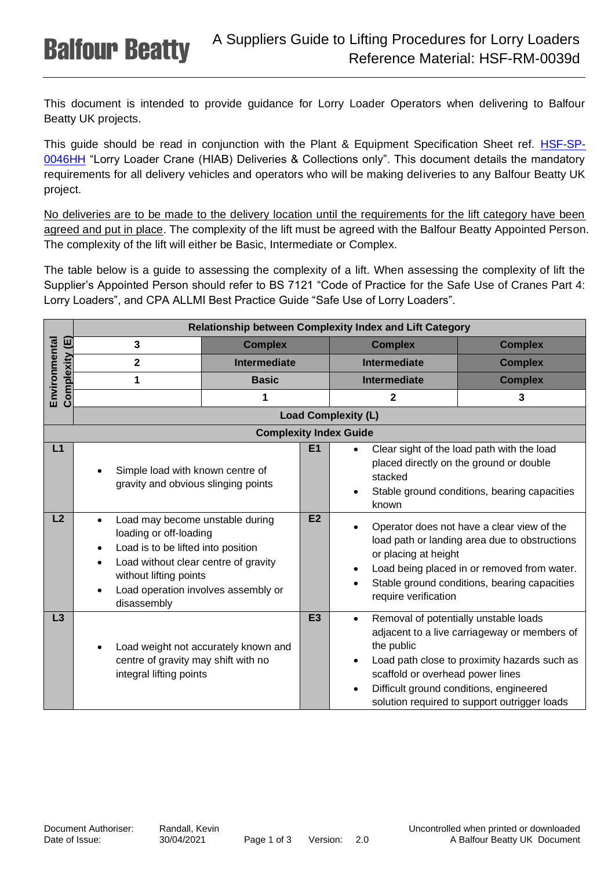This document is intended to provide guidance for Lorry Loader Operators when delivering to Balfour Beatty UK projects.

This guide should be read in conjunction with the Plant & Equipment Specification Sheet ref. **[HSF-SP-](https://balfourbeatty.sharepoint.com/sites/BMS/_layouts/DocIdRedir.aspx?ID=2KHUWT73P6SE-1572-1230)**[0046HH](https://balfourbeatty.sharepoint.com/sites/BMS/_layouts/DocIdRedir.aspx?ID=2KHUWT73P6SE-1572-1230) "Lorry Loader Crane (HIAB) Deliveries & Collections only". This document details the mandatory requirements for all delivery vehicles and operators who will be making deliveries to any Balfour Beatty UK project.

No deliveries are to be made to the delivery location until the requirements for the lift category have been agreed and put in place. The complexity of the lift must be agreed with the Balfour Beatty Appointed Person. The complexity of the lift will either be Basic, Intermediate or Complex.

The table below is a guide to assessing the complexity of a lift. When assessing the complexity of lift the Supplier's Appointed Person should refer to BS 7121 "Code of Practice for the Safe Use of Cranes Part 4: Lorry Loaders", and CPA ALLMI Best Practice Guide "Safe Use of Lorry Loaders".

|                | Relationship between Complexity Index and Lift Category                                                                                                                                                                              |                                                        |                                                                                                                                                           |                                                                                                                                                                                                                                            |  |
|----------------|--------------------------------------------------------------------------------------------------------------------------------------------------------------------------------------------------------------------------------------|--------------------------------------------------------|-----------------------------------------------------------------------------------------------------------------------------------------------------------|--------------------------------------------------------------------------------------------------------------------------------------------------------------------------------------------------------------------------------------------|--|
|                | 3                                                                                                                                                                                                                                    | <b>Complex</b>                                         | <b>Complex</b>                                                                                                                                            | <b>Complex</b>                                                                                                                                                                                                                             |  |
|                | $\overline{2}$                                                                                                                                                                                                                       | <b>Intermediate</b>                                    | <b>Intermediate</b>                                                                                                                                       | <b>Complex</b>                                                                                                                                                                                                                             |  |
| Environmental  | 1                                                                                                                                                                                                                                    | <b>Basic</b>                                           | <b>Intermediate</b>                                                                                                                                       | <b>Complex</b>                                                                                                                                                                                                                             |  |
| Complexity (E) |                                                                                                                                                                                                                                      | 1                                                      | 2                                                                                                                                                         | 3                                                                                                                                                                                                                                          |  |
|                |                                                                                                                                                                                                                                      |                                                        | <b>Load Complexity (L)</b>                                                                                                                                |                                                                                                                                                                                                                                            |  |
|                |                                                                                                                                                                                                                                      | <b>Complexity Index Guide</b>                          |                                                                                                                                                           |                                                                                                                                                                                                                                            |  |
| L1             | Simple load with known centre of<br>gravity and obvious slinging points                                                                                                                                                              | E <sub>1</sub>                                         | Clear sight of the load path with the load<br>placed directly on the ground or double<br>stacked<br>Stable ground conditions, bearing capacities<br>known |                                                                                                                                                                                                                                            |  |
| L2             | Load may become unstable during<br>$\bullet$<br>loading or off-loading<br>Load is to be lifted into position<br>Load without clear centre of gravity<br>without lifting points<br>Load operation involves assembly or<br>disassembly |                                                        | E2                                                                                                                                                        | Operator does not have a clear view of the<br>load path or landing area due to obstructions<br>or placing at height<br>Load being placed in or removed from water.<br>Stable ground conditions, bearing capacities<br>require verification |  |
| L3             | centre of gravity may shift with no<br>integral lifting points                                                                                                                                                                       | E <sub>3</sub><br>Load weight not accurately known and | $\bullet$<br>the public<br>scaffold or overhead power lines                                                                                               | Removal of potentially unstable loads<br>adjacent to a live carriageway or members of<br>Load path close to proximity hazards such as<br>Difficult ground conditions, engineered<br>solution required to support outrigger loads           |  |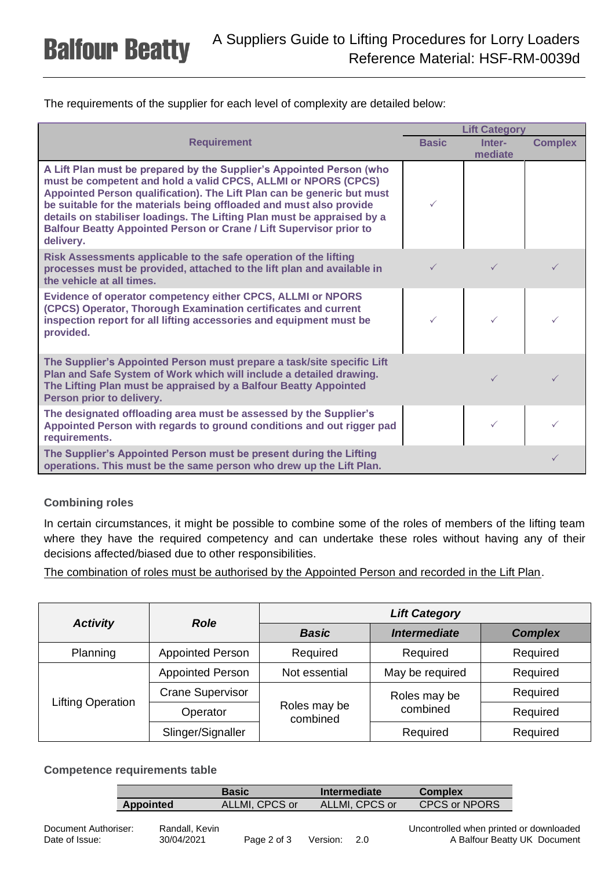The requirements of the supplier for each level of complexity are detailed below:

|                                                                                                                                                                                                                                                                                                                                                                                                                                                               | <b>Lift Category</b> |                   |                |
|---------------------------------------------------------------------------------------------------------------------------------------------------------------------------------------------------------------------------------------------------------------------------------------------------------------------------------------------------------------------------------------------------------------------------------------------------------------|----------------------|-------------------|----------------|
| <b>Requirement</b>                                                                                                                                                                                                                                                                                                                                                                                                                                            | <b>Basic</b>         | Inter-<br>mediate | <b>Complex</b> |
| A Lift Plan must be prepared by the Supplier's Appointed Person (who<br>must be competent and hold a valid CPCS, ALLMI or NPORS (CPCS)<br>Appointed Person qualification). The Lift Plan can be generic but must<br>be suitable for the materials being offloaded and must also provide<br>details on stabiliser loadings. The Lifting Plan must be appraised by a<br><b>Balfour Beatty Appointed Person or Crane / Lift Supervisor prior to</b><br>delivery. |                      |                   |                |
| Risk Assessments applicable to the safe operation of the lifting<br>processes must be provided, attached to the lift plan and available in<br>the vehicle at all times.                                                                                                                                                                                                                                                                                       |                      |                   | ✓              |
| Evidence of operator competency either CPCS, ALLMI or NPORS<br>(CPCS) Operator, Thorough Examination certificates and current<br>inspection report for all lifting accessories and equipment must be<br>provided.                                                                                                                                                                                                                                             |                      |                   |                |
| The Supplier's Appointed Person must prepare a task/site specific Lift<br>Plan and Safe System of Work which will include a detailed drawing.<br>The Lifting Plan must be appraised by a Balfour Beatty Appointed<br>Person prior to delivery.                                                                                                                                                                                                                |                      |                   | $\checkmark$   |
| The designated offloading area must be assessed by the Supplier's<br>Appointed Person with regards to ground conditions and out rigger pad<br>requirements.                                                                                                                                                                                                                                                                                                   |                      | ✓                 |                |
| The Supplier's Appointed Person must be present during the Lifting<br>operations. This must be the same person who drew up the Lift Plan.                                                                                                                                                                                                                                                                                                                     |                      |                   | ✓              |

## **Combining roles**

In certain circumstances, it might be possible to combine some of the roles of members of the lifting team where they have the required competency and can undertake these roles without having any of their decisions affected/biased due to other responsibilities.

The combination of roles must be authorised by the Appointed Person and recorded in the Lift Plan.

|                          | <b>Role</b>             | <b>Lift Category</b>     |                     |                |  |
|--------------------------|-------------------------|--------------------------|---------------------|----------------|--|
| <b>Activity</b>          |                         | <b>Basic</b>             | <b>Intermediate</b> | <b>Complex</b> |  |
| Planning                 | <b>Appointed Person</b> | Required                 | Required            | Required       |  |
|                          | <b>Appointed Person</b> | Not essential            | May be required     | Required       |  |
|                          | <b>Crane Supervisor</b> |                          | Roles may be        | Required       |  |
| <b>Lifting Operation</b> | Operator                | Roles may be<br>combined | combined            | Required       |  |
|                          | Slinger/Signaller       |                          | Required            | Required       |  |

## **Competence requirements table**

|           | Basic          | Intermediate   | <b>Complex</b>       |
|-----------|----------------|----------------|----------------------|
| Appointed | ALLMI, CPCS or | ALLMI. CPCS or | <b>CPCS or NPORS</b> |

| Document Authoriser: |  |
|----------------------|--|
| Date of Issue:       |  |